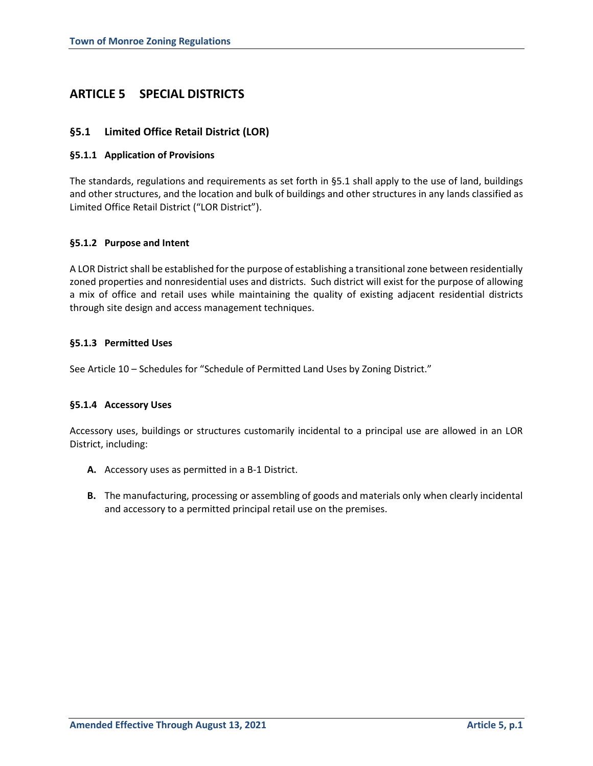# **ARTICLE 5 SPECIAL DISTRICTS**

# **§5.1 Limited Office Retail District (LOR)**

### **§5.1.1 Application of Provisions**

The standards, regulations and requirements as set forth in §5.1 shall apply to the use of land, buildings and other structures, and the location and bulk of buildings and other structures in any lands classified as Limited Office Retail District ("LOR District").

### **§5.1.2 Purpose and Intent**

A LOR District shall be established for the purpose of establishing a transitional zone between residentially zoned properties and nonresidential uses and districts. Such district will exist for the purpose of allowing a mix of office and retail uses while maintaining the quality of existing adjacent residential districts through site design and access management techniques.

### **§5.1.3 Permitted Uses**

See Article 10 – Schedules for "Schedule of Permitted Land Uses by Zoning District."

#### **§5.1.4 Accessory Uses**

Accessory uses, buildings or structures customarily incidental to a principal use are allowed in an LOR District, including:

- **A.** Accessory uses as permitted in a B-1 District.
- **B.** The manufacturing, processing or assembling of goods and materials only when clearly incidental and accessory to a permitted principal retail use on the premises.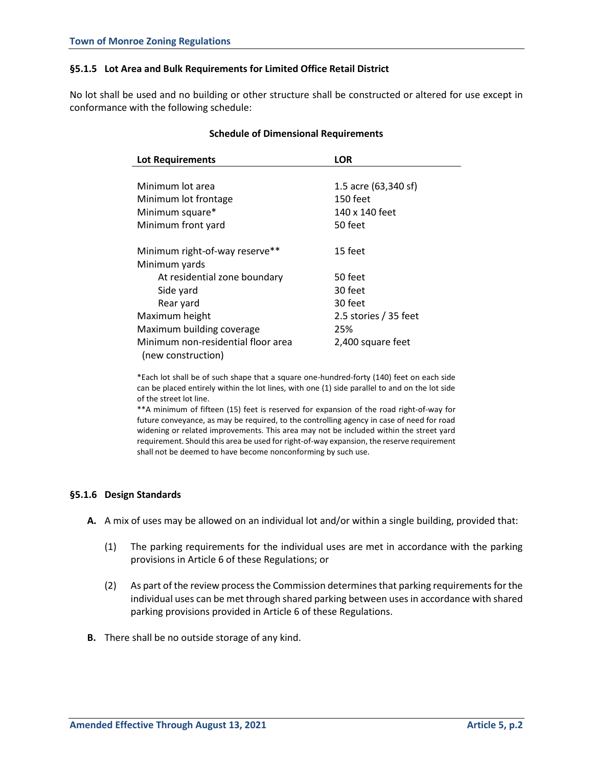### **§5.1.5 Lot Area and Bulk Requirements for Limited Office Retail District**

No lot shall be used and no building or other structure shall be constructed or altered for use except in conformance with the following schedule:

#### **Schedule of Dimensional Requirements**

| <b>Lot Requirements</b>            | <b>LOR</b>            |
|------------------------------------|-----------------------|
|                                    |                       |
| Minimum lot area                   | 1.5 acre (63,340 sf)  |
| Minimum lot frontage               | 150 feet              |
| Minimum square*                    | 140 x 140 feet        |
| Minimum front yard                 | 50 feet               |
|                                    |                       |
| Minimum right-of-way reserve**     | 15 feet               |
| Minimum yards                      |                       |
| At residential zone boundary       | 50 feet               |
| Side yard                          | 30 feet               |
| Rear yard                          | 30 feet               |
| Maximum height                     | 2.5 stories / 35 feet |
| Maximum building coverage          | 25%                   |
| Minimum non-residential floor area | 2,400 square feet     |
| (new construction)                 |                       |

\*Each lot shall be of such shape that a square one-hundred-forty (140) feet on each side can be placed entirely within the lot lines, with one (1) side parallel to and on the lot side of the street lot line.

\*\*A minimum of fifteen (15) feet is reserved for expansion of the road right-of-way for future conveyance, as may be required, to the controlling agency in case of need for road widening or related improvements. This area may not be included within the street yard requirement. Should this area be used for right-of-way expansion, the reserve requirement shall not be deemed to have become nonconforming by such use.

#### **§5.1.6 Design Standards**

- **A.** A mix of uses may be allowed on an individual lot and/or within a single building, provided that:
	- (1) The parking requirements for the individual uses are met in accordance with the parking provisions in Article 6 of these Regulations; or
	- (2) As part of the review process the Commission determines that parking requirements for the individual uses can be met through shared parking between uses in accordance with shared parking provisions provided in Article 6 of these Regulations.
- **B.** There shall be no outside storage of any kind.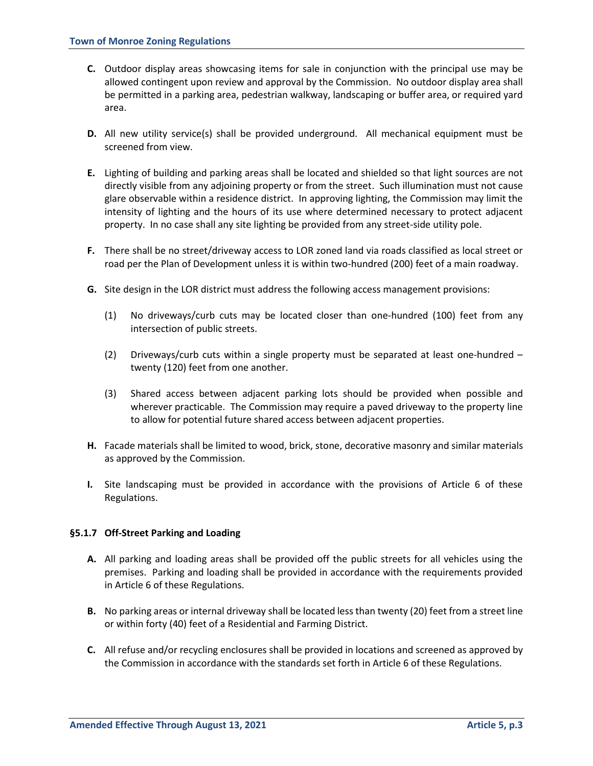- **C.** Outdoor display areas showcasing items for sale in conjunction with the principal use may be allowed contingent upon review and approval by the Commission. No outdoor display area shall be permitted in a parking area, pedestrian walkway, landscaping or buffer area, or required yard area.
- **D.** All new utility service(s) shall be provided underground. All mechanical equipment must be screened from view.
- **E.** Lighting of building and parking areas shall be located and shielded so that light sources are not directly visible from any adjoining property or from the street. Such illumination must not cause glare observable within a residence district. In approving lighting, the Commission may limit the intensity of lighting and the hours of its use where determined necessary to protect adjacent property. In no case shall any site lighting be provided from any street-side utility pole.
- **F.** There shall be no street/driveway access to LOR zoned land via roads classified as local street or road per the Plan of Development unless it is within two-hundred (200) feet of a main roadway.
- **G.** Site design in the LOR district must address the following access management provisions:
	- (1) No driveways/curb cuts may be located closer than one-hundred (100) feet from any intersection of public streets.
	- (2) Driveways/curb cuts within a single property must be separated at least one-hundred twenty (120) feet from one another.
	- (3) Shared access between adjacent parking lots should be provided when possible and wherever practicable. The Commission may require a paved driveway to the property line to allow for potential future shared access between adjacent properties.
- **H.** Facade materials shall be limited to wood, brick, stone, decorative masonry and similar materials as approved by the Commission.
- **I.** Site landscaping must be provided in accordance with the provisions of Article 6 of these Regulations.

### **§5.1.7 Off-Street Parking and Loading**

- **A.** All parking and loading areas shall be provided off the public streets for all vehicles using the premises. Parking and loading shall be provided in accordance with the requirements provided in Article 6 of these Regulations.
- **B.** No parking areas or internal driveway shall be located less than twenty (20) feet from a street line or within forty (40) feet of a Residential and Farming District.
- **C.** All refuse and/or recycling enclosures shall be provided in locations and screened as approved by the Commission in accordance with the standards set forth in Article 6 of these Regulations.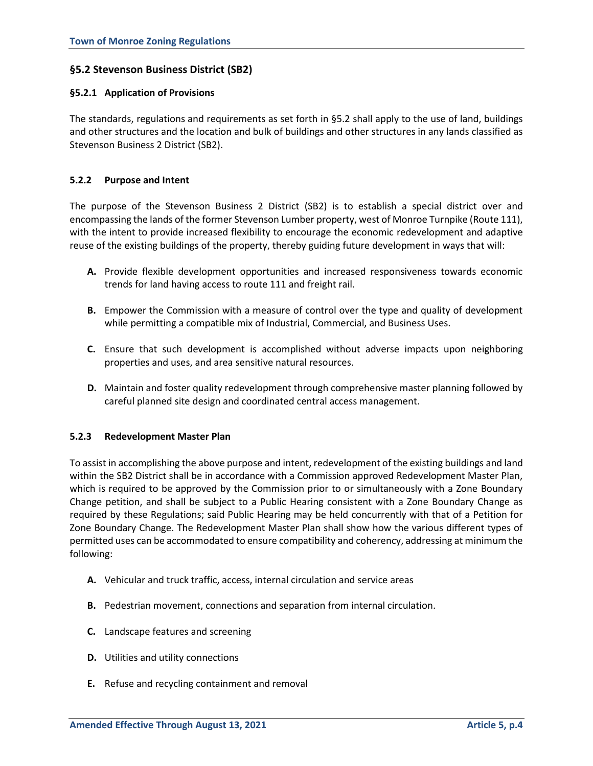# **§5.2 Stevenson Business District (SB2)**

### **§5.2.1 Application of Provisions**

The standards, regulations and requirements as set forth in §5.2 shall apply to the use of land, buildings and other structures and the location and bulk of buildings and other structures in any lands classified as Stevenson Business 2 District (SB2).

### **5.2.2 Purpose and Intent**

The purpose of the Stevenson Business 2 District (SB2) is to establish a special district over and encompassing the lands of the former Stevenson Lumber property, west of Monroe Turnpike (Route 111), with the intent to provide increased flexibility to encourage the economic redevelopment and adaptive reuse of the existing buildings of the property, thereby guiding future development in ways that will:

- **A.** Provide flexible development opportunities and increased responsiveness towards economic trends for land having access to route 111 and freight rail.
- **B.** Empower the Commission with a measure of control over the type and quality of development while permitting a compatible mix of Industrial, Commercial, and Business Uses.
- **C.** Ensure that such development is accomplished without adverse impacts upon neighboring properties and uses, and area sensitive natural resources.
- **D.** Maintain and foster quality redevelopment through comprehensive master planning followed by careful planned site design and coordinated central access management.

#### **5.2.3 Redevelopment Master Plan**

To assist in accomplishing the above purpose and intent, redevelopment of the existing buildings and land within the SB2 District shall be in accordance with a Commission approved Redevelopment Master Plan, which is required to be approved by the Commission prior to or simultaneously with a Zone Boundary Change petition, and shall be subject to a Public Hearing consistent with a Zone Boundary Change as required by these Regulations; said Public Hearing may be held concurrently with that of a Petition for Zone Boundary Change. The Redevelopment Master Plan shall show how the various different types of permitted uses can be accommodated to ensure compatibility and coherency, addressing at minimum the following:

- **A.** Vehicular and truck traffic, access, internal circulation and service areas
- **B.** Pedestrian movement, connections and separation from internal circulation.
- **C.** Landscape features and screening
- **D.** Utilities and utility connections
- **E.** Refuse and recycling containment and removal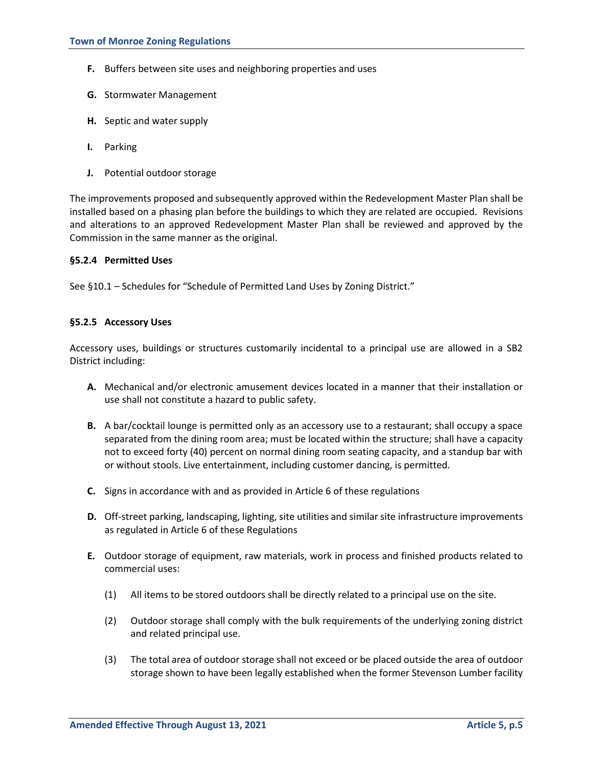- **F.** Buffers between site uses and neighboring properties and uses
- **G.** Stormwater Management
- **H.** Septic and water supply
- **I.** Parking
- **J.** Potential outdoor storage

The improvements proposed and subsequently approved within the Redevelopment Master Plan shall be installed based on a phasing plan before the buildings to which they are related are occupied. Revisions and alterations to an approved Redevelopment Master Plan shall be reviewed and approved by the Commission in the same manner as the original.

#### **§5.2.4 Permitted Uses**

See §10.1 – Schedules for "Schedule of Permitted Land Uses by Zoning District."

#### **§5.2.5 Accessory Uses**

Accessory uses, buildings or structures customarily incidental to a principal use are allowed in a SB2 District including:

- **A.** Mechanical and/or electronic amusement devices located in a manner that their installation or use shall not constitute a hazard to public safety.
- **B.** A bar/cocktail lounge is permitted only as an accessory use to a restaurant; shall occupy a space separated from the dining room area; must be located within the structure; shall have a capacity not to exceed forty (40) percent on normal dining room seating capacity, and a standup bar with or without stools. Live entertainment, including customer dancing, is permitted.
- **C.** Signs in accordance with and as provided in Article 6 of these regulations
- **D.** Off-street parking, landscaping, lighting, site utilities and similar site infrastructure improvements as regulated in Article 6 of these Regulations
- **E.** Outdoor storage of equipment, raw materials, work in process and finished products related to commercial uses:
	- (1) All items to be stored outdoors shall be directly related to a principal use on the site.
	- (2) Outdoor storage shall comply with the bulk requirements of the underlying zoning district and related principal use.
	- (3) The total area of outdoor storage shall not exceed or be placed outside the area of outdoor storage shown to have been legally established when the former Stevenson Lumber facility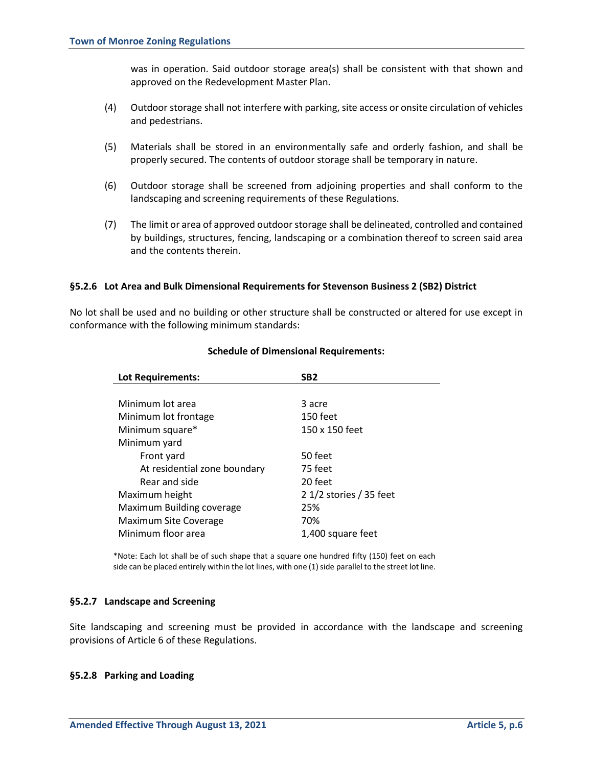was in operation. Said outdoor storage area(s) shall be consistent with that shown and approved on the Redevelopment Master Plan.

- (4) Outdoor storage shall not interfere with parking, site access or onsite circulation of vehicles and pedestrians.
- (5) Materials shall be stored in an environmentally safe and orderly fashion, and shall be properly secured. The contents of outdoor storage shall be temporary in nature.
- (6) Outdoor storage shall be screened from adjoining properties and shall conform to the landscaping and screening requirements of these Regulations.
- (7) The limit or area of approved outdoor storage shall be delineated, controlled and contained by buildings, structures, fencing, landscaping or a combination thereof to screen said area and the contents therein.

### **§5.2.6 Lot Area and Bulk Dimensional Requirements for Stevenson Business 2 (SB2) District**

No lot shall be used and no building or other structure shall be constructed or altered for use except in conformance with the following minimum standards:

| <b>Lot Requirements:</b>     | SB <sub>2</sub>         |
|------------------------------|-------------------------|
|                              |                         |
| Minimum lot area             | 3 acre                  |
| Minimum lot frontage         | 150 feet                |
| Minimum square*              | 150 x 150 feet          |
| Minimum yard                 |                         |
| Front yard                   | 50 feet                 |
| At residential zone boundary | 75 feet                 |
| Rear and side                | 20 feet                 |
| Maximum height               | 2 1/2 stories / 35 feet |
| Maximum Building coverage    | 25%                     |
| Maximum Site Coverage        | 70%                     |
| Minimum floor area           | 1,400 square feet       |

### **Schedule of Dimensional Requirements:**

\*Note: Each lot shall be of such shape that a square one hundred fifty (150) feet on each side can be placed entirely within the lot lines, with one (1) side parallel to the street lot line.

#### **§5.2.7 Landscape and Screening**

Site landscaping and screening must be provided in accordance with the landscape and screening provisions of Article 6 of these Regulations.

#### **§5.2.8 Parking and Loading**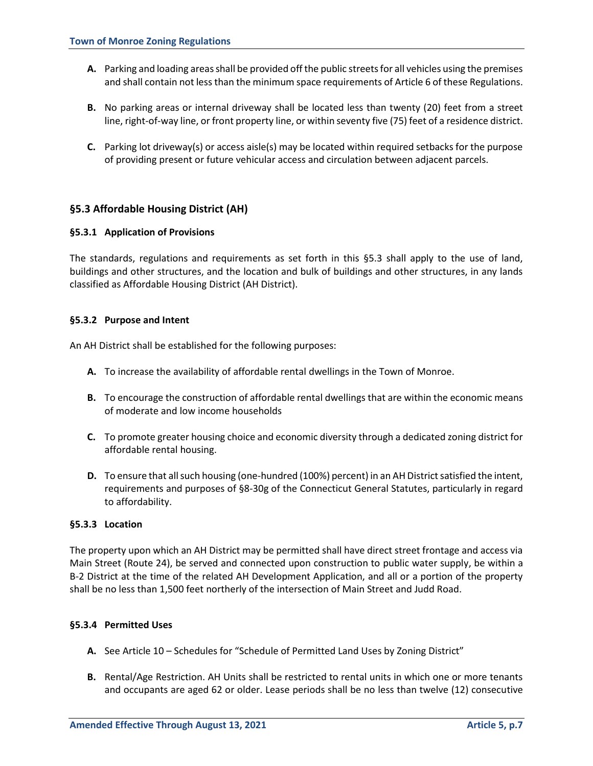- **A.** Parking and loading areas shall be provided off the public streets for all vehicles using the premises and shall contain not less than the minimum space requirements of Article 6 of these Regulations.
- **B.** No parking areas or internal driveway shall be located less than twenty (20) feet from a street line, right-of-way line, or front property line, or within seventy five (75) feet of a residence district.
- **C.** Parking lot driveway(s) or access aisle(s) may be located within required setbacks for the purpose of providing present or future vehicular access and circulation between adjacent parcels.

# **§5.3 Affordable Housing District (AH)**

### **§5.3.1 Application of Provisions**

The standards, regulations and requirements as set forth in this §5.3 shall apply to the use of land, buildings and other structures, and the location and bulk of buildings and other structures, in any lands classified as Affordable Housing District (AH District).

### **§5.3.2 Purpose and Intent**

An AH District shall be established for the following purposes:

- **A.** To increase the availability of affordable rental dwellings in the Town of Monroe.
- **B.** To encourage the construction of affordable rental dwellings that are within the economic means of moderate and low income households
- **C.** To promote greater housing choice and economic diversity through a dedicated zoning district for affordable rental housing.
- **D.** To ensure that all such housing (one-hundred (100%) percent) in an AH District satisfied the intent, requirements and purposes of §8-30g of the Connecticut General Statutes, particularly in regard to affordability.

#### **§5.3.3 Location**

The property upon which an AH District may be permitted shall have direct street frontage and access via Main Street (Route 24), be served and connected upon construction to public water supply, be within a B-2 District at the time of the related AH Development Application, and all or a portion of the property shall be no less than 1,500 feet northerly of the intersection of Main Street and Judd Road.

### **§5.3.4 Permitted Uses**

- **A.** See Article 10 Schedules for "Schedule of Permitted Land Uses by Zoning District"
- **B.** Rental/Age Restriction. AH Units shall be restricted to rental units in which one or more tenants and occupants are aged 62 or older. Lease periods shall be no less than twelve (12) consecutive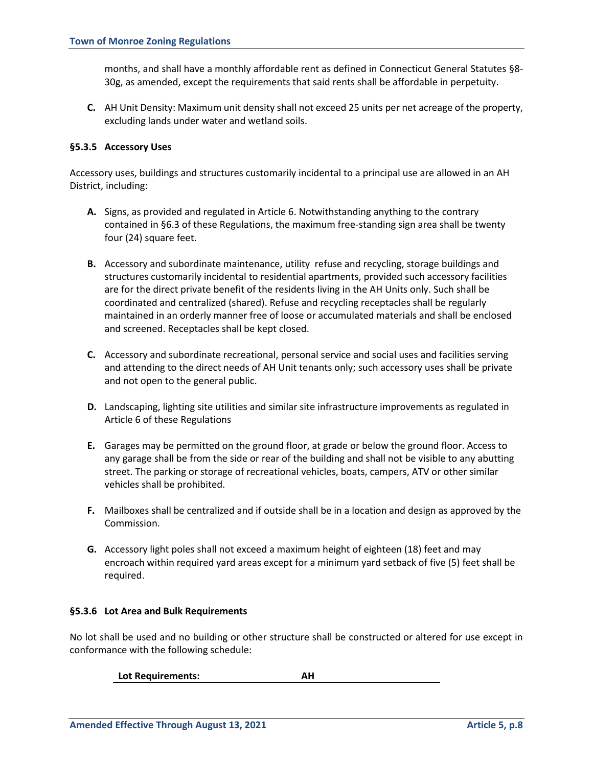months, and shall have a monthly affordable rent as defined in Connecticut General Statutes §8- 30g, as amended, except the requirements that said rents shall be affordable in perpetuity.

**C.** AH Unit Density: Maximum unit density shall not exceed 25 units per net acreage of the property, excluding lands under water and wetland soils.

### **§5.3.5 Accessory Uses**

Accessory uses, buildings and structures customarily incidental to a principal use are allowed in an AH District, including:

- **A.** Signs, as provided and regulated in Article 6. Notwithstanding anything to the contrary contained in §6.3 of these Regulations, the maximum free-standing sign area shall be twenty four (24) square feet.
- **B.** Accessory and subordinate maintenance, utility refuse and recycling, storage buildings and structures customarily incidental to residential apartments, provided such accessory facilities are for the direct private benefit of the residents living in the AH Units only. Such shall be coordinated and centralized (shared). Refuse and recycling receptacles shall be regularly maintained in an orderly manner free of loose or accumulated materials and shall be enclosed and screened. Receptacles shall be kept closed.
- **C.** Accessory and subordinate recreational, personal service and social uses and facilities serving and attending to the direct needs of AH Unit tenants only; such accessory uses shall be private and not open to the general public.
- **D.** Landscaping, lighting site utilities and similar site infrastructure improvements as regulated in Article 6 of these Regulations
- **E.** Garages may be permitted on the ground floor, at grade or below the ground floor. Access to any garage shall be from the side or rear of the building and shall not be visible to any abutting street. The parking or storage of recreational vehicles, boats, campers, ATV or other similar vehicles shall be prohibited.
- **F.** Mailboxes shall be centralized and if outside shall be in a location and design as approved by the Commission.
- **G.** Accessory light poles shall not exceed a maximum height of eighteen (18) feet and may encroach within required yard areas except for a minimum yard setback of five (5) feet shall be required.

#### **§5.3.6 Lot Area and Bulk Requirements**

No lot shall be used and no building or other structure shall be constructed or altered for use except in conformance with the following schedule:

**Lot Requirements: AH**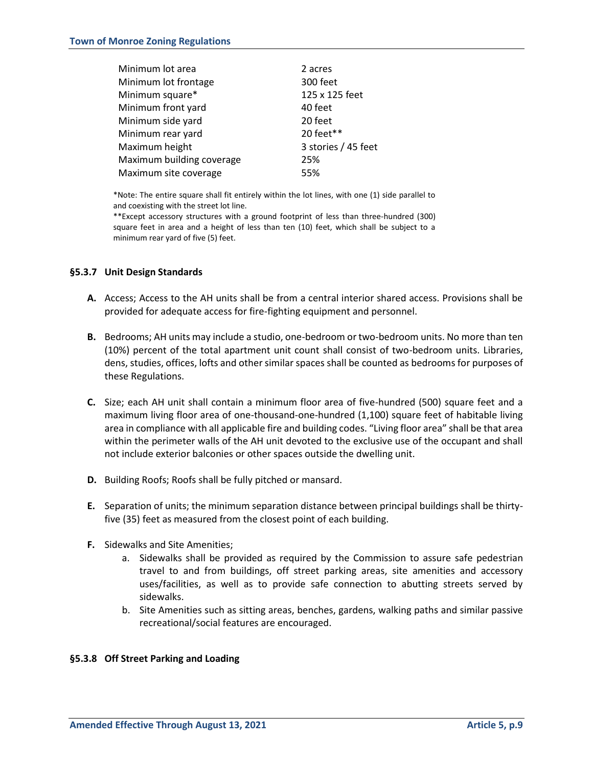| Minimum lot area          | 2 acres             |
|---------------------------|---------------------|
| Minimum lot frontage      | 300 feet            |
| Minimum square*           | 125 x 125 feet      |
| Minimum front yard        | 40 feet             |
| Minimum side yard         | 20 feet             |
| Minimum rear yard         | 20 feet**           |
| Maximum height            | 3 stories / 45 feet |
| Maximum building coverage | 25%                 |
| Maximum site coverage     | 55%                 |

\*Note: The entire square shall fit entirely within the lot lines, with one (1) side parallel to and coexisting with the street lot line.

\*\*Except accessory structures with a ground footprint of less than three-hundred (300) square feet in area and a height of less than ten (10) feet, which shall be subject to a minimum rear yard of five (5) feet.

### **§5.3.7 Unit Design Standards**

- **A.** Access; Access to the AH units shall be from a central interior shared access. Provisions shall be provided for adequate access for fire-fighting equipment and personnel.
- **B.** Bedrooms; AH units may include a studio, one-bedroom or two-bedroom units. No more than ten (10%) percent of the total apartment unit count shall consist of two-bedroom units. Libraries, dens, studies, offices, lofts and other similar spaces shall be counted as bedrooms for purposes of these Regulations.
- **C.** Size; each AH unit shall contain a minimum floor area of five-hundred (500) square feet and a maximum living floor area of one-thousand-one-hundred (1,100) square feet of habitable living area in compliance with all applicable fire and building codes. "Living floor area" shall be that area within the perimeter walls of the AH unit devoted to the exclusive use of the occupant and shall not include exterior balconies or other spaces outside the dwelling unit.
- **D.** Building Roofs; Roofs shall be fully pitched or mansard.
- **E.** Separation of units; the minimum separation distance between principal buildings shall be thirtyfive (35) feet as measured from the closest point of each building.
- **F.** Sidewalks and Site Amenities;
	- a. Sidewalks shall be provided as required by the Commission to assure safe pedestrian travel to and from buildings, off street parking areas, site amenities and accessory uses/facilities, as well as to provide safe connection to abutting streets served by sidewalks.
	- b. Site Amenities such as sitting areas, benches, gardens, walking paths and similar passive recreational/social features are encouraged.

#### **§5.3.8 Off Street Parking and Loading**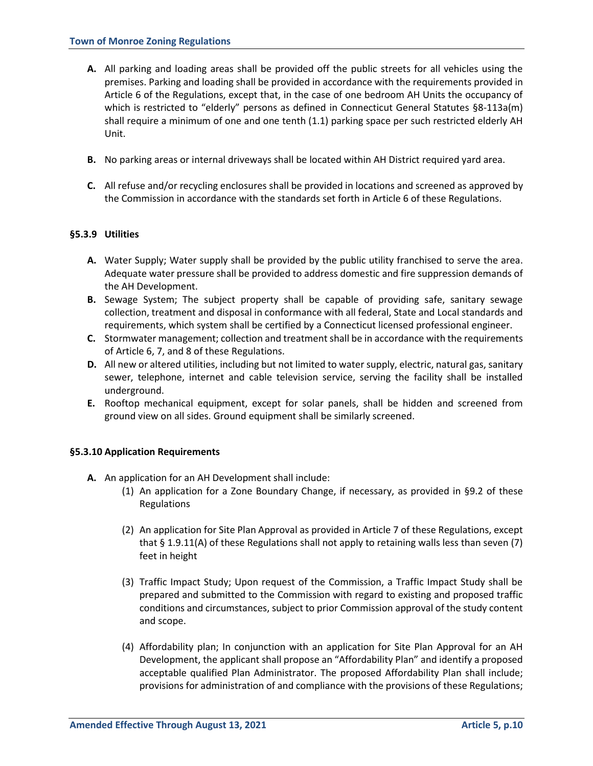- **A.** All parking and loading areas shall be provided off the public streets for all vehicles using the premises. Parking and loading shall be provided in accordance with the requirements provided in Article 6 of the Regulations, except that, in the case of one bedroom AH Units the occupancy of which is restricted to "elderly" persons as defined in Connecticut General Statutes §8-113a(m) shall require a minimum of one and one tenth (1.1) parking space per such restricted elderly AH Unit.
- **B.** No parking areas or internal driveways shall be located within AH District required yard area.
- **C.** All refuse and/or recycling enclosures shall be provided in locations and screened as approved by the Commission in accordance with the standards set forth in Article 6 of these Regulations.

### **§5.3.9 Utilities**

- **A.** Water Supply; Water supply shall be provided by the public utility franchised to serve the area. Adequate water pressure shall be provided to address domestic and fire suppression demands of the AH Development.
- **B.** Sewage System; The subject property shall be capable of providing safe, sanitary sewage collection, treatment and disposal in conformance with all federal, State and Local standards and requirements, which system shall be certified by a Connecticut licensed professional engineer.
- **C.** Stormwater management; collection and treatment shall be in accordance with the requirements of Article 6, 7, and 8 of these Regulations.
- **D.** All new or altered utilities, including but not limited to water supply, electric, natural gas, sanitary sewer, telephone, internet and cable television service, serving the facility shall be installed underground.
- **E.** Rooftop mechanical equipment, except for solar panels, shall be hidden and screened from ground view on all sides. Ground equipment shall be similarly screened.

#### **§5.3.10 Application Requirements**

- **A.** An application for an AH Development shall include:
	- (1) An application for a Zone Boundary Change, if necessary, as provided in §9.2 of these Regulations
	- (2) An application for Site Plan Approval as provided in Article 7 of these Regulations, except that § 1.9.11(A) of these Regulations shall not apply to retaining walls less than seven (7) feet in height
	- (3) Traffic Impact Study; Upon request of the Commission, a Traffic Impact Study shall be prepared and submitted to the Commission with regard to existing and proposed traffic conditions and circumstances, subject to prior Commission approval of the study content and scope.
	- (4) Affordability plan; In conjunction with an application for Site Plan Approval for an AH Development, the applicant shall propose an "Affordability Plan" and identify a proposed acceptable qualified Plan Administrator. The proposed Affordability Plan shall include; provisions for administration of and compliance with the provisions of these Regulations;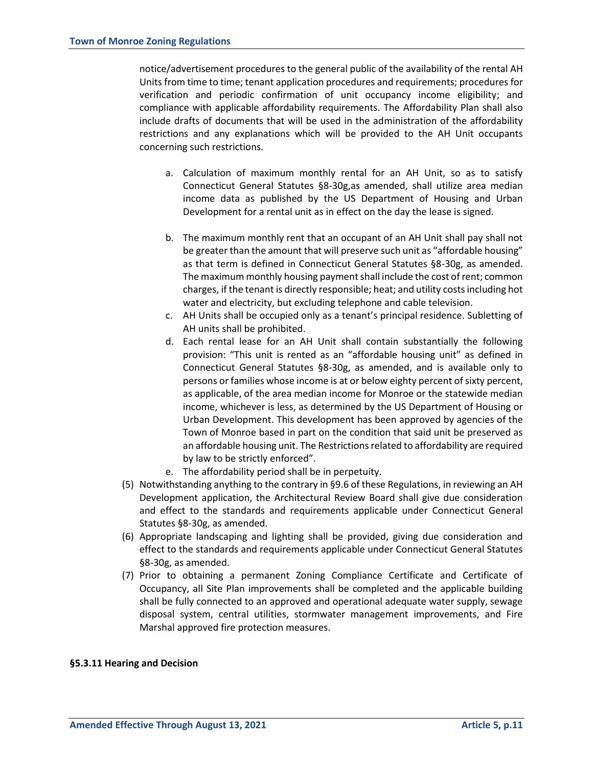notice/advertisement procedures to the general public of the availability of the rental AH Units from time to time; tenant application procedures and requirements; procedures for verification and periodic confirmation of unit occupancy income eligibility; and compliance with applicable affordability requirements. The Affordability Plan shall also include drafts of documents that will be used in the administration of the affordability restrictions and any explanations which will be provided to the AH Unit occupants concerning such restrictions.

- a. Calculation of maximum monthly rental for an AH Unit, so as to satisfy Connecticut General Statutes §8-30g,as amended, shall utilize area median income data as published by the US Department of Housing and Urban Development for a rental unit as in effect on the day the lease is signed.
- b. The maximum monthly rent that an occupant of an AH Unit shall pay shall not be greater than the amount that will preserve such unit as "affordable housing" as that term is defined in Connecticut General Statutes §8-30g, as amended. The maximum monthly housing payment shall include the cost of rent; common charges, if the tenant is directly responsible; heat; and utility costs including hot water and electricity, but excluding telephone and cable television.
- c. AH Units shall be occupied only as a tenant's principal residence. Subletting of AH units shall be prohibited.
- d. Each rental lease for an AH Unit shall contain substantially the following provision: "This unit is rented as an "affordable housing unit" as defined in Connecticut General Statutes §8-30g, as amended, and is available only to persons or families whose income is at or below eighty percent of sixty percent, as applicable, of the area median income for Monroe or the statewide median income, whichever is less, as determined by the US Department of Housing or Urban Development. This development has been approved by agencies of the Town of Monroe based in part on the condition that said unit be preserved as an affordable housing unit. The Restrictions related to affordability are required by law to be strictly enforced".
- e. The affordability period shall be in perpetuity.
- (5) Notwithstanding anything to the contrary in §9.6 of these Regulations, in reviewing an AH Development application, the Architectural Review Board shall give due consideration and effect to the standards and requirements applicable under Connecticut General Statutes §8-30g, as amended.
- (6) Appropriate landscaping and lighting shall be provided, giving due consideration and effect to the standards and requirements applicable under Connecticut General Statutes §8-30g, as amended.
- (7) Prior to obtaining a permanent Zoning Compliance Certificate and Certificate of Occupancy, all Site Plan improvements shall be completed and the applicable building shall be fully connected to an approved and operational adequate water supply, sewage disposal system, central utilities, stormwater management improvements, and Fire Marshal approved fire protection measures.

#### **§5.3.11 Hearing and Decision**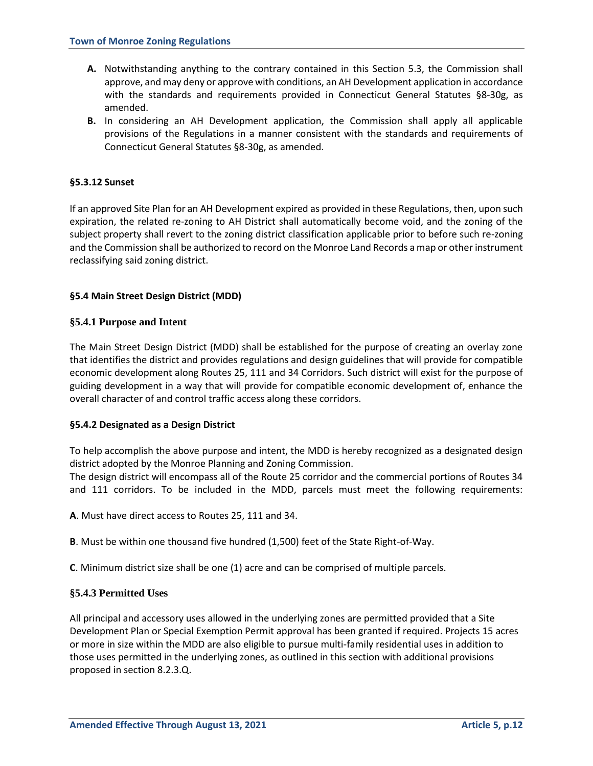- **A.** Notwithstanding anything to the contrary contained in this Section 5.3, the Commission shall approve, and may deny or approve with conditions, an AH Development application in accordance with the standards and requirements provided in Connecticut General Statutes §8-30g, as amended.
- **B.** In considering an AH Development application, the Commission shall apply all applicable provisions of the Regulations in a manner consistent with the standards and requirements of Connecticut General Statutes §8-30g, as amended.

### **§5.3.12 Sunset**

If an approved Site Plan for an AH Development expired as provided in these Regulations, then, upon such expiration, the related re-zoning to AH District shall automatically become void, and the zoning of the subject property shall revert to the zoning district classification applicable prior to before such re-zoning and the Commission shall be authorized to record on the Monroe Land Records a map or other instrument reclassifying said zoning district.

### **§5.4 Main Street Design District (MDD)**

### **§5.4.1 Purpose and Intent**

The Main Street Design District (MDD) shall be established for the purpose of creating an overlay zone that identifies the district and provides regulations and design guidelines that will provide for compatible economic development along Routes 25, 111 and 34 Corridors. Such district will exist for the purpose of guiding development in a way that will provide for compatible economic development of, enhance the overall character of and control traffic access along these corridors.

#### **§5.4.2 Designated as a Design District**

To help accomplish the above purpose and intent, the MDD is hereby recognized as a designated design district adopted by the Monroe Planning and Zoning Commission.

The design district will encompass all of the Route 25 corridor and the commercial portions of Routes 34 and 111 corridors. To be included in the MDD, parcels must meet the following requirements:

**A**. Must have direct access to Routes 25, 111 and 34.

**B**. Must be within one thousand five hundred (1,500) feet of the State Right-of-Way.

**C**. Minimum district size shall be one (1) acre and can be comprised of multiple parcels.

### **§5.4.3 Permitted Uses**

All principal and accessory uses allowed in the underlying zones are permitted provided that a Site Development Plan or Special Exemption Permit approval has been granted if required. Projects 15 acres or more in size within the MDD are also eligible to pursue multi-family residential uses in addition to those uses permitted in the underlying zones, as outlined in this section with additional provisions proposed in section 8.2.3.Q.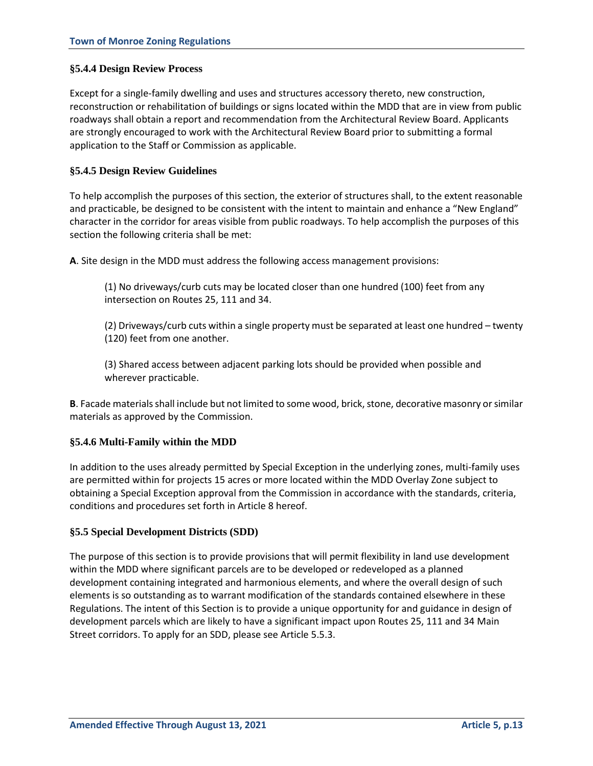# **§5.4.4 Design Review Process**

Except for a single-family dwelling and uses and structures accessory thereto, new construction, reconstruction or rehabilitation of buildings or signs located within the MDD that are in view from public roadways shall obtain a report and recommendation from the Architectural Review Board. Applicants are strongly encouraged to work with the Architectural Review Board prior to submitting a formal application to the Staff or Commission as applicable.

# **§5.4.5 Design Review Guidelines**

To help accomplish the purposes of this section, the exterior of structures shall, to the extent reasonable and practicable, be designed to be consistent with the intent to maintain and enhance a "New England" character in the corridor for areas visible from public roadways. To help accomplish the purposes of this section the following criteria shall be met:

**A**. Site design in the MDD must address the following access management provisions:

(1) No driveways/curb cuts may be located closer than one hundred (100) feet from any intersection on Routes 25, 111 and 34.

(2) Driveways/curb cuts within a single property must be separated at least one hundred – twenty (120) feet from one another.

(3) Shared access between adjacent parking lots should be provided when possible and wherever practicable.

**B**. Facade materials shall include but not limited to some wood, brick, stone, decorative masonry or similar materials as approved by the Commission.

# **§5.4.6 Multi-Family within the MDD**

In addition to the uses already permitted by Special Exception in the underlying zones, multi-family uses are permitted within for projects 15 acres or more located within the MDD Overlay Zone subject to obtaining a Special Exception approval from the Commission in accordance with the standards, criteria, conditions and procedures set forth in Article 8 hereof.

# **§5.5 Special Development Districts (SDD)**

The purpose of this section is to provide provisions that will permit flexibility in land use development within the MDD where significant parcels are to be developed or redeveloped as a planned development containing integrated and harmonious elements, and where the overall design of such elements is so outstanding as to warrant modification of the standards contained elsewhere in these Regulations. The intent of this Section is to provide a unique opportunity for and guidance in design of development parcels which are likely to have a significant impact upon Routes 25, 111 and 34 Main Street corridors. To apply for an SDD, please see Article 5.5.3.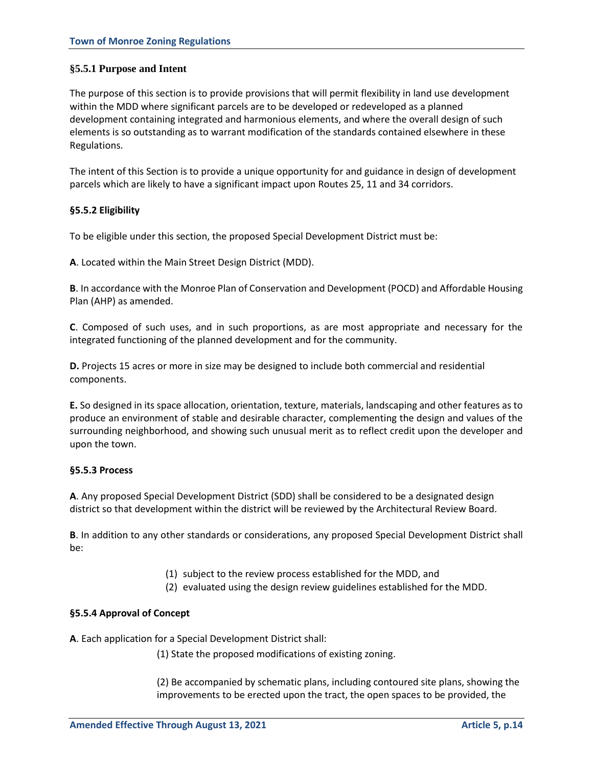### **§5.5.1 Purpose and Intent**

The purpose of this section is to provide provisions that will permit flexibility in land use development within the MDD where significant parcels are to be developed or redeveloped as a planned development containing integrated and harmonious elements, and where the overall design of such elements is so outstanding as to warrant modification of the standards contained elsewhere in these Regulations.

The intent of this Section is to provide a unique opportunity for and guidance in design of development parcels which are likely to have a significant impact upon Routes 25, 11 and 34 corridors.

#### **§5.5.2 Eligibility**

To be eligible under this section, the proposed Special Development District must be:

**A**. Located within the Main Street Design District (MDD).

**B**. In accordance with the Monroe Plan of Conservation and Development (POCD) and Affordable Housing Plan (AHP) as amended.

**C**. Composed of such uses, and in such proportions, as are most appropriate and necessary for the integrated functioning of the planned development and for the community.

**D.** Projects 15 acres or more in size may be designed to include both commercial and residential components.

**E.** So designed in its space allocation, orientation, texture, materials, landscaping and other features as to produce an environment of stable and desirable character, complementing the design and values of the surrounding neighborhood, and showing such unusual merit as to reflect credit upon the developer and upon the town.

#### **§5.5.3 Process**

**A**. Any proposed Special Development District (SDD) shall be considered to be a designated design district so that development within the district will be reviewed by the Architectural Review Board.

**B**. In addition to any other standards or considerations, any proposed Special Development District shall be:

- (1) subject to the review process established for the MDD, and
- (2) evaluated using the design review guidelines established for the MDD.

#### **§5.5.4 Approval of Concept**

**A**. Each application for a Special Development District shall:

(1) State the proposed modifications of existing zoning.

(2) Be accompanied by schematic plans, including contoured site plans, showing the improvements to be erected upon the tract, the open spaces to be provided, the